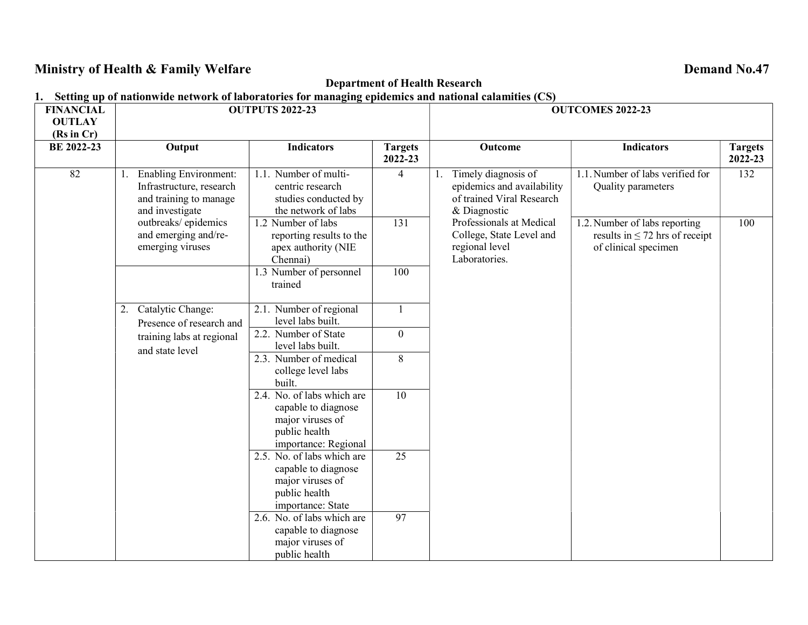# Ministry of Health & Family Welfare **Demand No.47** Contract the Demand No.47

## Department of Health Research

# 1. Setting up of nationwide network of laboratories for managing epidemics and national calamities (CS)

| <b>FINANCIAL</b>  | <b>OUTPUTS 2022-23</b>                                                                                |                                                                                                                |                           | <b>OUTCOMES 2022-23</b>                                                                        |                                                                                              |                           |  |  |
|-------------------|-------------------------------------------------------------------------------------------------------|----------------------------------------------------------------------------------------------------------------|---------------------------|------------------------------------------------------------------------------------------------|----------------------------------------------------------------------------------------------|---------------------------|--|--|
| <b>OUTLAY</b>     |                                                                                                       |                                                                                                                |                           |                                                                                                |                                                                                              |                           |  |  |
| (Rs in Cr)        |                                                                                                       |                                                                                                                |                           |                                                                                                |                                                                                              |                           |  |  |
| <b>BE 2022-23</b> | Output                                                                                                | <b>Indicators</b>                                                                                              | <b>Targets</b><br>2022-23 | Outcome                                                                                        | <b>Indicators</b>                                                                            | <b>Targets</b><br>2022-23 |  |  |
| 82                | <b>Enabling Environment:</b><br>Infrastructure, research<br>and training to manage<br>and investigate | 1.1. Number of multi-<br>centric research<br>studies conducted by<br>the network of labs                       | $\overline{4}$            | Timely diagnosis of<br>epidemics and availability<br>of trained Viral Research<br>& Diagnostic | 1.1. Number of labs verified for<br>Quality parameters                                       | 132                       |  |  |
|                   | outbreaks/epidemics<br>and emerging and/re-<br>emerging viruses                                       | 1.2 Number of labs<br>reporting results to the<br>apex authority (NIE<br>Chennai)                              | $\overline{131}$          | Professionals at Medical<br>College, State Level and<br>regional level<br>Laboratories.        | 1.2. Number of labs reporting<br>results in $\leq$ 72 hrs of receipt<br>of clinical specimen | 100                       |  |  |
|                   |                                                                                                       | 1.3 Number of personnel<br>trained                                                                             | 100                       |                                                                                                |                                                                                              |                           |  |  |
|                   | Catalytic Change:<br>2.<br>Presence of research and                                                   | 2.1. Number of regional<br>level labs built.                                                                   |                           |                                                                                                |                                                                                              |                           |  |  |
|                   | training labs at regional<br>and state level                                                          | 2.2. Number of State<br>level labs built.                                                                      | $\overline{0}$            |                                                                                                |                                                                                              |                           |  |  |
|                   |                                                                                                       | 2.3. Number of medical<br>college level labs<br>built.                                                         | 8                         |                                                                                                |                                                                                              |                           |  |  |
|                   |                                                                                                       | 2.4. No. of labs which are<br>capable to diagnose<br>major viruses of<br>public health<br>importance: Regional | 10                        |                                                                                                |                                                                                              |                           |  |  |
|                   |                                                                                                       | 2.5. No. of labs which are<br>capable to diagnose<br>major viruses of<br>public health<br>importance: State    | $\overline{25}$           |                                                                                                |                                                                                              |                           |  |  |
|                   |                                                                                                       | 2.6. No. of labs which are<br>capable to diagnose<br>major viruses of<br>public health                         | 97                        |                                                                                                |                                                                                              |                           |  |  |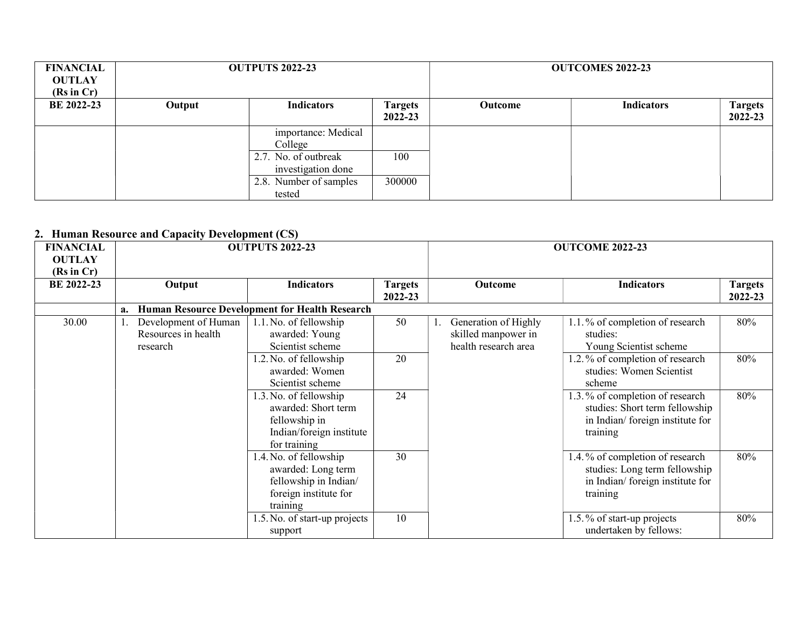| <b>FINANCIAL</b><br><b>OUTLAY</b><br>(Rs in Cr) |        | <b>OUTPUTS 2022-23</b>                     |                           |                | <b>OUTCOMES 2022-23</b> |                           |
|-------------------------------------------------|--------|--------------------------------------------|---------------------------|----------------|-------------------------|---------------------------|
| <b>BE 2022-23</b>                               | Output | <b>Indicators</b>                          | <b>Targets</b><br>2022-23 | <b>Outcome</b> | <b>Indicators</b>       | <b>Targets</b><br>2022-23 |
|                                                 |        | importance: Medical<br>College             |                           |                |                         |                           |
|                                                 |        | 2.7. No. of outbreak<br>investigation done | 100                       |                |                         |                           |
|                                                 |        | 2.8. Number of samples<br>tested           | 300000                    |                |                         |                           |

#### 2. Human Resource and Capacity Development (CS)

| <b>FINANCIAL</b><br><b>OUTLAY</b><br>(Rs in Cr) | <b>Human Resource and Capacity Development</b> (Co)     | <b>OUTPUTS 2022-23</b>                                                                                     |                           |                                                                     | <b>OUTCOME 2022-23</b>                                                                                           |                           |
|-------------------------------------------------|---------------------------------------------------------|------------------------------------------------------------------------------------------------------------|---------------------------|---------------------------------------------------------------------|------------------------------------------------------------------------------------------------------------------|---------------------------|
| <b>BE 2022-23</b>                               | Output                                                  | <b>Indicators</b>                                                                                          | <b>Targets</b><br>2022-23 | Outcome                                                             | <b>Indicators</b>                                                                                                | <b>Targets</b><br>2022-23 |
|                                                 | a.                                                      | <b>Human Resource Development for Health Research</b>                                                      |                           |                                                                     |                                                                                                                  |                           |
| 30.00                                           | Development of Human<br>Resources in health<br>research | 1.1. No. of fellowship<br>awarded: Young<br>Scientist scheme                                               | 50                        | Generation of Highly<br>skilled manpower in<br>health research area | 1.1.% of completion of research<br>studies:<br>Young Scientist scheme                                            | 80%                       |
|                                                 |                                                         | 1.2. No. of fellowship<br>awarded: Women<br>Scientist scheme                                               | 20                        |                                                                     | 1.2.% of completion of research<br>studies: Women Scientist<br>scheme                                            | 80%                       |
|                                                 |                                                         | 1.3. No. of fellowship<br>awarded: Short term<br>fellowship in<br>Indian/foreign institute<br>for training | 24                        |                                                                     | 1.3.% of completion of research<br>studies: Short term fellowship<br>in Indian/foreign institute for<br>training | 80%                       |
|                                                 |                                                         | 1.4. No. of fellowship<br>awarded: Long term<br>fellowship in Indian/<br>foreign institute for<br>training | 30                        |                                                                     | 1.4.% of completion of research<br>studies: Long term fellowship<br>in Indian/foreign institute for<br>training  | 80%                       |
|                                                 |                                                         | 1.5. No. of start-up projects<br>support                                                                   | 10                        |                                                                     | 1.5.% of start-up projects<br>undertaken by fellows:                                                             | 80%                       |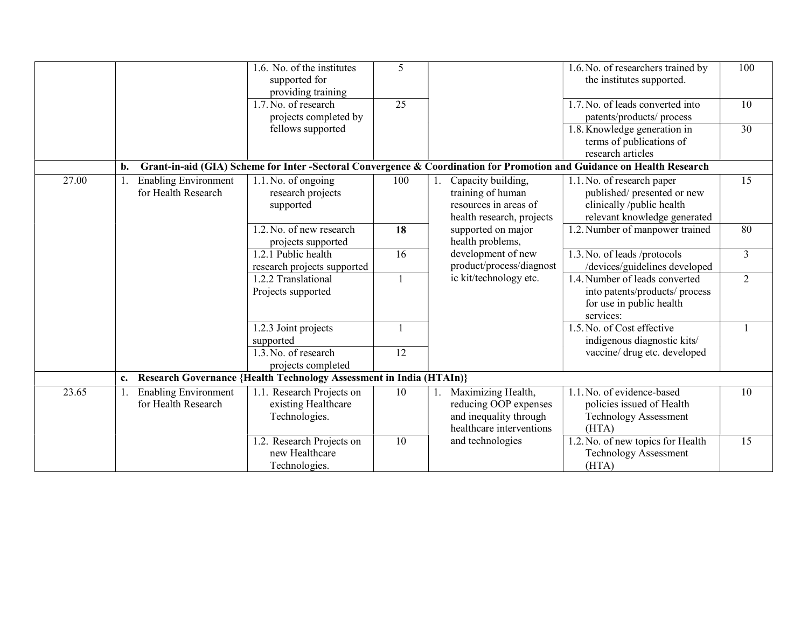|       |                                                    | 1.6. No. of the institutes<br>supported for<br>providing training          | 5   |                                                                                                   | 1.6. No. of researchers trained by<br>the institutes supported.                                                       | 100             |
|-------|----------------------------------------------------|----------------------------------------------------------------------------|-----|---------------------------------------------------------------------------------------------------|-----------------------------------------------------------------------------------------------------------------------|-----------------|
|       |                                                    | 1.7. No. of research<br>projects completed by                              | 25  |                                                                                                   | 1.7. No. of leads converted into<br>patents/products/ process                                                         | 10              |
|       |                                                    | fellows supported                                                          |     |                                                                                                   | 1.8. Knowledge generation in<br>terms of publications of<br>research articles                                         | 30              |
|       | b.                                                 |                                                                            |     |                                                                                                   | Grant-in-aid (GIA) Scheme for Inter-Sectoral Convergence & Coordination for Promotion and Guidance on Health Research |                 |
| 27.00 | <b>Enabling Environment</b><br>for Health Research | 1.1. No. of ongoing<br>research projects<br>supported                      | 100 | Capacity building,<br>training of human<br>resources in areas of<br>health research, projects     | 1.1. No. of research paper<br>published/presented or new<br>clinically /public health<br>relevant knowledge generated | $\overline{15}$ |
|       |                                                    | 1.2. No. of new research<br>projects supported                             | 18  | supported on major<br>health problems,                                                            | 1.2. Number of manpower trained                                                                                       | 80              |
|       |                                                    | 1.2.1 Public health<br>research projects supported                         | 16  | development of new<br>product/process/diagnost                                                    | 1.3. No. of leads /protocols<br>/devices/guidelines developed                                                         | $\overline{3}$  |
|       |                                                    | 1.2.2 Translational<br>Projects supported                                  |     | ic kit/technology etc.                                                                            | 1.4. Number of leads converted<br>into patents/products/ process<br>for use in public health<br>services:             | 2               |
|       |                                                    | 1.2.3 Joint projects<br>supported                                          |     |                                                                                                   | 1.5. No. of Cost effective<br>indigenous diagnostic kits/                                                             |                 |
|       |                                                    | 1.3. No. of research<br>projects completed                                 | 12  |                                                                                                   | vaccine/ drug etc. developed                                                                                          |                 |
|       | c.                                                 | <b>Research Governance {Health Technology Assessment in India (HTAIn)}</b> |     |                                                                                                   |                                                                                                                       |                 |
| 23.65 | <b>Enabling Environment</b><br>for Health Research | 1.1. Research Projects on<br>existing Healthcare<br>Technologies.          | 10  | Maximizing Health,<br>reducing OOP expenses<br>and inequality through<br>healthcare interventions | 1.1. No. of evidence-based<br>policies issued of Health<br><b>Technology Assessment</b><br>(HTA)                      | 10              |
|       |                                                    | 1.2. Research Projects on<br>new Healthcare<br>Technologies.               | 10  | and technologies                                                                                  | 1.2. No. of new topics for Health<br><b>Technology Assessment</b><br>(HTA)                                            | 15              |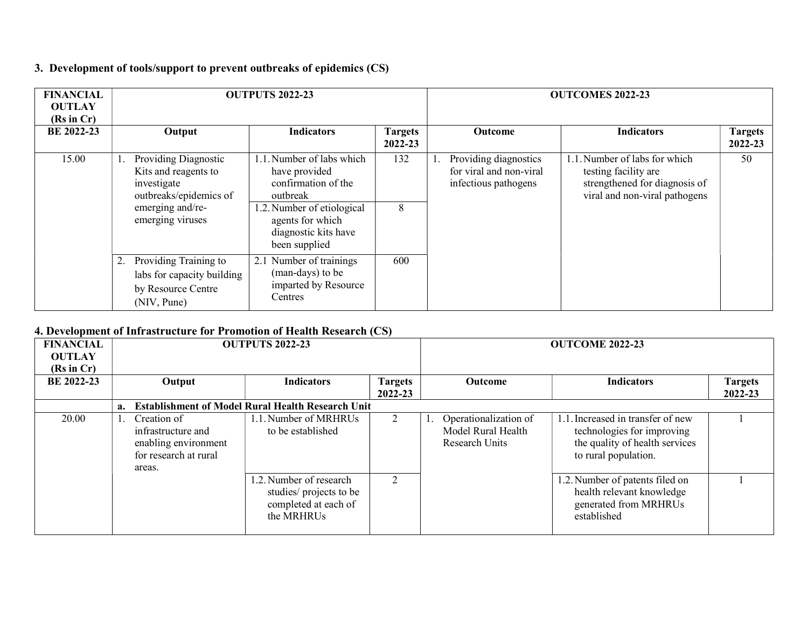## 3. Development of tools/support to prevent outbreaks of epidemics (CS)

| <b>FINANCIAL</b><br><b>OUTLAY</b><br>(Rs in Cr) | <b>OUTPUTS 2022-23</b>                                                                                                        |                                                                                                                                                                          |                           | <b>OUTCOMES 2022-23</b> |                                                                          |                                                                                                                         |                           |  |
|-------------------------------------------------|-------------------------------------------------------------------------------------------------------------------------------|--------------------------------------------------------------------------------------------------------------------------------------------------------------------------|---------------------------|-------------------------|--------------------------------------------------------------------------|-------------------------------------------------------------------------------------------------------------------------|---------------------------|--|
| BE 2022-23                                      | Output                                                                                                                        | <b>Indicators</b>                                                                                                                                                        | <b>Targets</b><br>2022-23 |                         | <b>Outcome</b>                                                           | <b>Indicators</b>                                                                                                       | <b>Targets</b><br>2022-23 |  |
| 15.00                                           | Providing Diagnostic<br>Kits and reagents to<br>investigate<br>outbreaks/epidemics of<br>emerging and/re-<br>emerging viruses | 1.1. Number of labs which<br>have provided<br>confirmation of the<br>outbreak<br>1.2. Number of etiological<br>agents for which<br>diagnostic kits have<br>been supplied | 132<br>8                  |                         | Providing diagnostics<br>for viral and non-viral<br>infectious pathogens | 1.1. Number of labs for which<br>testing facility are<br>strengthened for diagnosis of<br>viral and non-viral pathogens | 50                        |  |
|                                                 | Providing Training to<br>labs for capacity building<br>by Resource Centre<br>(NIV, Pune)                                      | 2.1 Number of trainings<br>(man-days) to be<br>imparted by Resource<br>Centres                                                                                           | 600                       |                         |                                                                          |                                                                                                                         |                           |  |

#### 4. Development of Infrastructure for Promotion of Health Research (CS)

|                   | в всеморном от нигази аспистог и ополон от поани гозоател (СЭ) |                                                                                              |                                                                                          |                        |  |                                                                      |                                                                                                                        |                |  |
|-------------------|----------------------------------------------------------------|----------------------------------------------------------------------------------------------|------------------------------------------------------------------------------------------|------------------------|--|----------------------------------------------------------------------|------------------------------------------------------------------------------------------------------------------------|----------------|--|
| <b>FINANCIAL</b>  | <b>OUTPUTS 2022-23</b>                                         |                                                                                              |                                                                                          | <b>OUTCOME 2022-23</b> |  |                                                                      |                                                                                                                        |                |  |
| <b>OUTLAY</b>     |                                                                |                                                                                              |                                                                                          |                        |  |                                                                      |                                                                                                                        |                |  |
| (Rs in Cr)        |                                                                |                                                                                              |                                                                                          |                        |  |                                                                      |                                                                                                                        |                |  |
| <b>BE 2022-23</b> |                                                                | Output                                                                                       | <b>Indicators</b>                                                                        | <b>Targets</b>         |  | <b>Outcome</b>                                                       | <b>Indicators</b>                                                                                                      | <b>Targets</b> |  |
|                   |                                                                |                                                                                              |                                                                                          | 2022-23                |  |                                                                      |                                                                                                                        | 2022-23        |  |
|                   |                                                                |                                                                                              | a. Establishment of Model Rural Health Research Unit                                     |                        |  |                                                                      |                                                                                                                        |                |  |
| 20.00             |                                                                | Creation of<br>infrastructure and<br>enabling environment<br>for research at rural<br>areas. | 1.1. Number of MRHRUs<br>to be established                                               | 2                      |  | Operationalization of<br>Model Rural Health<br><b>Research Units</b> | . Increased in transfer of new<br>technologies for improving<br>the quality of health services<br>to rural population. |                |  |
|                   |                                                                |                                                                                              | 1.2. Number of research<br>studies/ projects to be<br>completed at each of<br>the MRHRUs | $\overline{2}$         |  |                                                                      | 1.2. Number of patents filed on<br>health relevant knowledge<br>generated from MRHRUs<br>established                   |                |  |